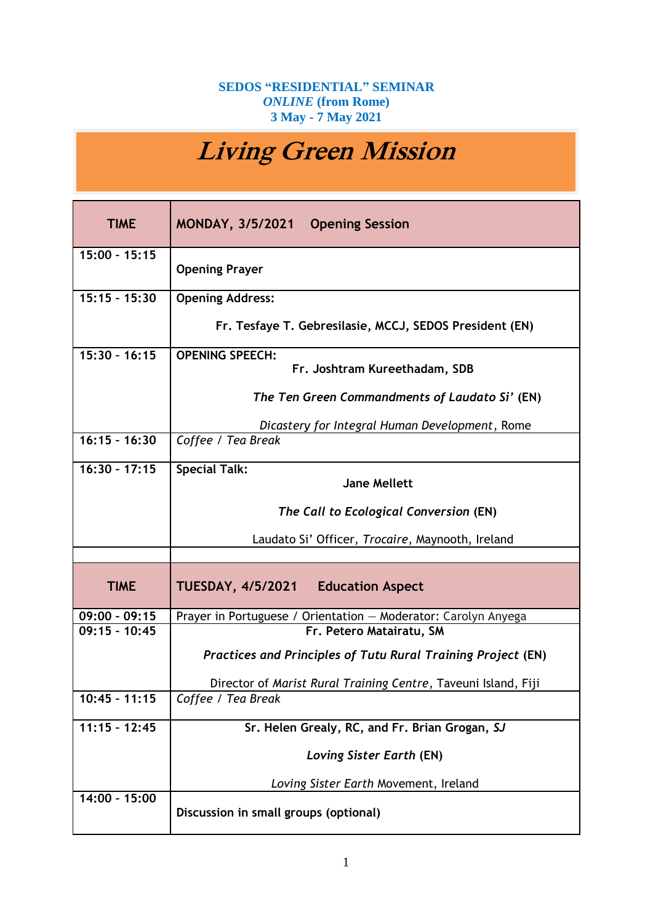## **SEDOS "RESIDENTIAL" SEMINAR** *ONLINE* **(from Rome) 3 May - 7 May 2021**

## **Living Green Mission**

| <b>TIME</b>     | MONDAY, 3/5/2021 Opening Session                                    |
|-----------------|---------------------------------------------------------------------|
| $15:00 - 15:15$ | <b>Opening Prayer</b>                                               |
| $15:15 - 15:30$ | <b>Opening Address:</b>                                             |
|                 | Fr. Tesfaye T. Gebresilasie, MCCJ, SEDOS President (EN)             |
| $15:30 - 16:15$ | <b>OPENING SPEECH:</b><br>Fr. Joshtram Kureethadam, SDB             |
|                 |                                                                     |
|                 | The Ten Green Commandments of Laudato Si' (EN)                      |
|                 | Dicastery for Integral Human Development, Rome                      |
| $16:15 - 16:30$ | Coffee / Tea Break                                                  |
| $16:30 - 17:15$ | <b>Special Talk:</b>                                                |
|                 | <b>Jane Mellett</b>                                                 |
|                 | The Call to Ecological Conversion (EN)                              |
|                 | Laudato Si' Officer, Trocaire, Maynooth, Ireland                    |
|                 |                                                                     |
| <b>TIME</b>     | <b>TUESDAY, 4/5/2021</b><br><b>Education Aspect</b>                 |
| $09:00 - 09:15$ | Prayer in Portuguese / Orientation - Moderator: Carolyn Anyega      |
| $09:15 - 10:45$ | Fr. Petero Matairatu, SM                                            |
|                 | <b>Practices and Principles of Tutu Rural Training Project (EN)</b> |
|                 | Director of Marist Rural Training Centre, Taveuni Island, Fiji      |
| $10:45 - 11:15$ | Coffee / Tea Break                                                  |
| $11:15 - 12:45$ | Sr. Helen Grealy, RC, and Fr. Brian Grogan, SJ                      |
|                 | Loving Sister Earth (EN)                                            |
|                 | Loving Sister Earth Movement, Ireland                               |
| 14:00 - 15:00   | Discussion in small groups (optional)                               |